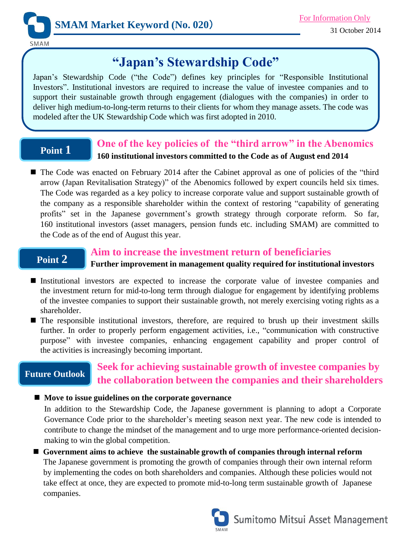

SMAM

# **"Japan's Stewardship Code"**

Japan's Stewardship Code ("the Code") defines key principles for "Responsible Institutional Investors". Institutional investors are required to increase the value of investee companies and to support their sustainable growth through engagement (dialogues with the companies) in order to deliver high medium-to-long-term returns to their clients for whom they manage assets. The code was modeled after the UK Stewardship Code which was first adopted in 2010.

## **Point 1**

### **One of the key policies of the "third arrow" in the Abenomics 160 institutional investors committed to the Code as of Augus**t **end 2014**

■ The Code was enacted on February 2014 after the Cabinet approval as one of policies of the "third" arrow (Japan Revitalisation Strategy)" of the Abenomics followed by expert councils held six times. The Code was regarded as a key policy to increase corporate value and support sustainable growth of the company as a responsible shareholder within the context of restoring "capability of generating profits" set in the Japanese government's growth strategy through corporate reform. So far, 160 institutional investors (asset managers, pension funds etc. including SMAM) are committed to the Code as of the end of August this year.

# **Point 2**

#### **Aim to increase the investment return of beneficiaries**

#### **Further improvement in management quality required for institutional investors**

- Institutional investors are expected to increase the corporate value of investee companies and the investment return for mid-to-long term through dialogue for engagement by identifying problems of the investee companies to support their sustainable growth, not merely exercising voting rights as a shareholder.
- The responsible institutional investors, therefore, are required to brush up their investment skills further. In order to properly perform engagement activities, i.e., "communication with constructive purpose" with investee companies, enhancing engagement capability and proper control of the activities is increasingly becoming important.

## **Future Outlook**

# **Seek for achieving sustainable growth of investee companies by the collaboration between the companies and their shareholders**

#### **Move to issue guidelines on the corporate governance**

In addition to the Stewardship Code, the Japanese government is planning to adopt a Corporate Governance Code prior to the shareholder's meeting season next year. The new code is intended to contribute to change the mindset of the management and to urge more performance-oriented decisionmaking to win the global competition.

 **Government aims to achieve the sustainable growth of companies through internal reform** The Japanese government is promoting the growth of companies through their own internal reform by implementing the codes on both shareholders and companies. Although these policies would not take effect at once, they are expected to promote mid-to-long term sustainable growth of Japanese companies.